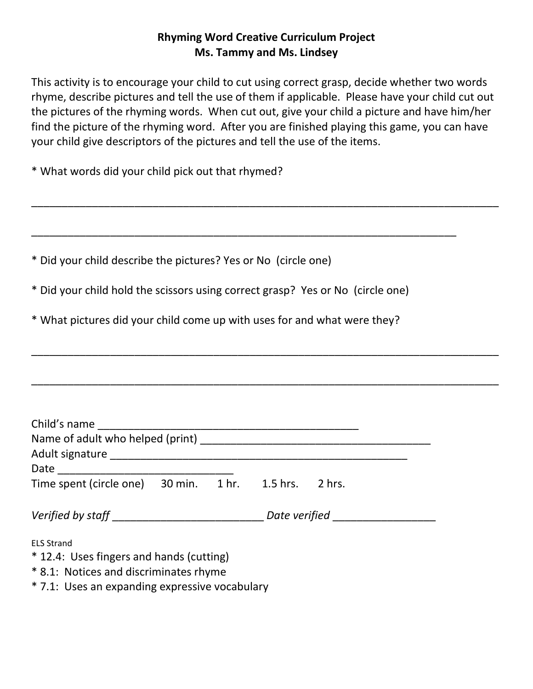## **Rhyming Word Creative Curriculum Project Ms. Tammy and Ms. Lindsey**

This activity is to encourage your child to cut using correct grasp, decide whether two words rhyme, describe pictures and tell the use of them if applicable. Please have your child cut out the pictures of the rhyming words. When cut out, give your child a picture and have him/her find the picture of the rhyming word. After you are finished playing this game, you can have your child give descriptors of the pictures and tell the use of the items.

\_\_\_\_\_\_\_\_\_\_\_\_\_\_\_\_\_\_\_\_\_\_\_\_\_\_\_\_\_\_\_\_\_\_\_\_\_\_\_\_\_\_\_\_\_\_\_\_\_\_\_\_\_\_\_\_\_\_\_\_\_\_\_\_\_\_\_\_\_\_\_\_\_\_\_\_\_

\_\_\_\_\_\_\_\_\_\_\_\_\_\_\_\_\_\_\_\_\_\_\_\_\_\_\_\_\_\_\_\_\_\_\_\_\_\_\_\_\_\_\_\_\_\_\_\_\_\_\_\_\_\_\_\_\_\_\_\_\_\_\_\_\_\_\_\_\_\_\_\_\_\_\_\_\_

\_\_\_\_\_\_\_\_\_\_\_\_\_\_\_\_\_\_\_\_\_\_\_\_\_\_\_\_\_\_\_\_\_\_\_\_\_\_\_\_\_\_\_\_\_\_\_\_\_\_\_\_\_\_\_\_\_\_\_\_\_\_\_\_\_\_\_\_\_\_\_\_\_\_\_\_\_

\_\_\_\_\_\_\_\_\_\_\_\_\_\_\_\_\_\_\_\_\_\_\_\_\_\_\_\_\_\_\_\_\_\_\_\_\_\_\_\_\_\_\_\_\_\_\_\_\_\_\_\_\_\_\_\_\_\_\_\_\_\_\_\_\_\_\_\_\_\_

\* What words did your child pick out that rhymed?

\* Did your child describe the pictures? Yes or No (circle one)

\* Did your child hold the scissors using correct grasp? Yes or No (circle one)

\* What pictures did your child come up with uses for and what were they?

| Child's name ________________                                                                           |  |  |  |  |  |
|---------------------------------------------------------------------------------------------------------|--|--|--|--|--|
|                                                                                                         |  |  |  |  |  |
| Time spent (circle one) 30 min. 1 hr. 1.5 hrs. 2 hrs.                                                   |  |  |  |  |  |
| Verified by staff _________________________________Date verified ________________                       |  |  |  |  |  |
| <b>ELS Strand</b><br>* 12.4: Uses fingers and hands (cutting)<br>* 8.1: Notices and discriminates rhyme |  |  |  |  |  |

\* 7.1: Uses an expanding expressive vocabulary